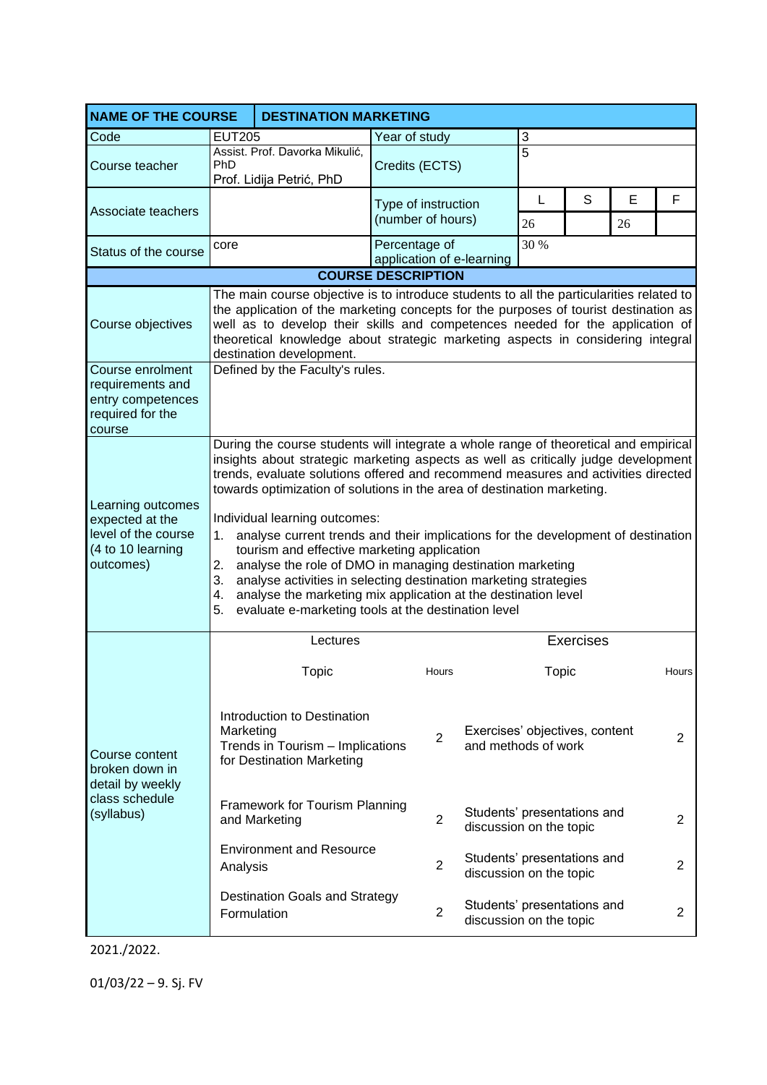| <b>NAME OF THE COURSE</b>                                                                     | <b>DESTINATION MARKETING</b>                                                                                                                                                                                                                                                                                                                                                                                                                                                                                                                                                                                                                                                                                                                                                                           |                                                                              |                                            |                                                                          |                                                       |   |    |                |  |  |
|-----------------------------------------------------------------------------------------------|--------------------------------------------------------------------------------------------------------------------------------------------------------------------------------------------------------------------------------------------------------------------------------------------------------------------------------------------------------------------------------------------------------------------------------------------------------------------------------------------------------------------------------------------------------------------------------------------------------------------------------------------------------------------------------------------------------------------------------------------------------------------------------------------------------|------------------------------------------------------------------------------|--------------------------------------------|--------------------------------------------------------------------------|-------------------------------------------------------|---|----|----------------|--|--|
| Code                                                                                          | <b>EUT205</b>                                                                                                                                                                                                                                                                                                                                                                                                                                                                                                                                                                                                                                                                                                                                                                                          |                                                                              | Year of study                              | 3                                                                        |                                                       |   |    |                |  |  |
| Course teacher                                                                                | PhD                                                                                                                                                                                                                                                                                                                                                                                                                                                                                                                                                                                                                                                                                                                                                                                                    | Assist. Prof. Davorka Mikulić,<br>Credits (ECTS)<br>Prof. Lidija Petrić, PhD |                                            |                                                                          | $\overline{5}$                                        |   |    |                |  |  |
|                                                                                               |                                                                                                                                                                                                                                                                                                                                                                                                                                                                                                                                                                                                                                                                                                                                                                                                        |                                                                              | Type of instruction                        |                                                                          | L                                                     | S | E  | F              |  |  |
| Associate teachers                                                                            |                                                                                                                                                                                                                                                                                                                                                                                                                                                                                                                                                                                                                                                                                                                                                                                                        |                                                                              | (number of hours)                          |                                                                          | 26                                                    |   | 26 |                |  |  |
| Status of the course                                                                          | core                                                                                                                                                                                                                                                                                                                                                                                                                                                                                                                                                                                                                                                                                                                                                                                                   |                                                                              | Percentage of<br>application of e-learning |                                                                          | 30 %                                                  |   |    |                |  |  |
| <b>COURSE DESCRIPTION</b>                                                                     |                                                                                                                                                                                                                                                                                                                                                                                                                                                                                                                                                                                                                                                                                                                                                                                                        |                                                                              |                                            |                                                                          |                                                       |   |    |                |  |  |
| Course objectives                                                                             | The main course objective is to introduce students to all the particularities related to<br>the application of the marketing concepts for the purposes of tourist destination as<br>well as to develop their skills and competences needed for the application of<br>theoretical knowledge about strategic marketing aspects in considering integral<br>destination development.                                                                                                                                                                                                                                                                                                                                                                                                                       |                                                                              |                                            |                                                                          |                                                       |   |    |                |  |  |
| Course enrolment<br>requirements and<br>entry competences<br>required for the<br>course       | Defined by the Faculty's rules.                                                                                                                                                                                                                                                                                                                                                                                                                                                                                                                                                                                                                                                                                                                                                                        |                                                                              |                                            |                                                                          |                                                       |   |    |                |  |  |
| Learning outcomes<br>expected at the<br>level of the course<br>(4 to 10 learning<br>outcomes) | During the course students will integrate a whole range of theoretical and empirical<br>insights about strategic marketing aspects as well as critically judge development<br>trends, evaluate solutions offered and recommend measures and activities directed<br>towards optimization of solutions in the area of destination marketing.<br>Individual learning outcomes:<br>analyse current trends and their implications for the development of destination<br>1.<br>tourism and effective marketing application<br>analyse the role of DMO in managing destination marketing<br>2.<br>3.<br>analyse activities in selecting destination marketing strategies<br>analyse the marketing mix application at the destination level<br>4.<br>5.<br>evaluate e-marketing tools at the destination level |                                                                              |                                            |                                                                          |                                                       |   |    |                |  |  |
|                                                                                               |                                                                                                                                                                                                                                                                                                                                                                                                                                                                                                                                                                                                                                                                                                                                                                                                        | Lectures                                                                     |                                            |                                                                          | <b>Exercises</b>                                      |   |    |                |  |  |
| Course content<br>broken down in<br>detail by weekly<br>class schedule<br>(syllabus)          |                                                                                                                                                                                                                                                                                                                                                                                                                                                                                                                                                                                                                                                                                                                                                                                                        | Topic                                                                        | Hours                                      |                                                                          | Topic                                                 |   |    | Hours          |  |  |
|                                                                                               | Introduction to Destination<br>Marketing<br>Trends in Tourism - Implications<br>for Destination Marketing                                                                                                                                                                                                                                                                                                                                                                                                                                                                                                                                                                                                                                                                                              |                                                                              | $\overline{2}$                             |                                                                          | Exercises' objectives, content<br>and methods of work |   |    | $\overline{2}$ |  |  |
|                                                                                               | Framework for Tourism Planning<br>$\overline{2}$<br>and Marketing                                                                                                                                                                                                                                                                                                                                                                                                                                                                                                                                                                                                                                                                                                                                      |                                                                              |                                            | Students' presentations and<br>$\overline{2}$<br>discussion on the topic |                                                       |   |    |                |  |  |
|                                                                                               | <b>Environment and Resource</b><br>Analysis                                                                                                                                                                                                                                                                                                                                                                                                                                                                                                                                                                                                                                                                                                                                                            |                                                                              | $\overline{2}$                             | Students' presentations and<br>discussion on the topic                   |                                                       |   | 2  |                |  |  |
|                                                                                               | Formulation                                                                                                                                                                                                                                                                                                                                                                                                                                                                                                                                                                                                                                                                                                                                                                                            | <b>Destination Goals and Strategy</b>                                        | $\overline{2}$                             | Students' presentations and<br>discussion on the topic                   |                                                       |   |    | 2              |  |  |

2021./2022.

01/03/22 – 9. Sj. FV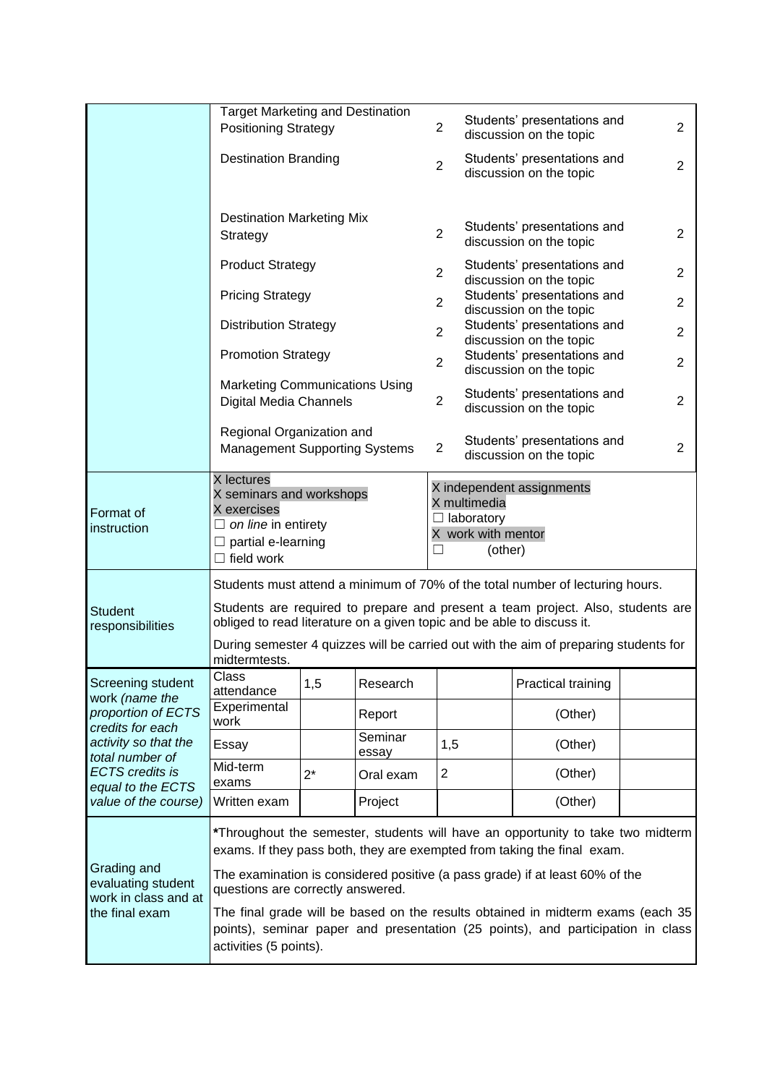|                                                                                                                                    | <b>Target Marketing and Destination</b><br><b>Positioning Strategy</b>                                                                                                                                                                                                                                                                              |                                                                                                                                               |                  | $\overline{2}$                                         | Students' presentations and<br>discussion on the topic |                                                        |   |  |  |
|------------------------------------------------------------------------------------------------------------------------------------|-----------------------------------------------------------------------------------------------------------------------------------------------------------------------------------------------------------------------------------------------------------------------------------------------------------------------------------------------------|-----------------------------------------------------------------------------------------------------------------------------------------------|------------------|--------------------------------------------------------|--------------------------------------------------------|--------------------------------------------------------|---|--|--|
|                                                                                                                                    | <b>Destination Branding</b>                                                                                                                                                                                                                                                                                                                         |                                                                                                                                               |                  | $\overline{2}$                                         | Students' presentations and<br>discussion on the topic |                                                        |   |  |  |
|                                                                                                                                    | <b>Destination Marketing Mix</b><br>Strategy                                                                                                                                                                                                                                                                                                        |                                                                                                                                               |                  | $\overline{2}$                                         |                                                        | Students' presentations and<br>discussion on the topic | 2 |  |  |
|                                                                                                                                    | <b>Product Strategy</b>                                                                                                                                                                                                                                                                                                                             |                                                                                                                                               |                  | $\overline{c}$                                         |                                                        | Students' presentations and<br>discussion on the topic |   |  |  |
|                                                                                                                                    | <b>Pricing Strategy</b>                                                                                                                                                                                                                                                                                                                             |                                                                                                                                               |                  | $\overline{2}$                                         | Students' presentations and<br>discussion on the topic | $\overline{2}$                                         |   |  |  |
|                                                                                                                                    | <b>Distribution Strategy</b>                                                                                                                                                                                                                                                                                                                        |                                                                                                                                               | $\overline{2}$   | Students' presentations and<br>discussion on the topic |                                                        |                                                        |   |  |  |
|                                                                                                                                    | <b>Promotion Strategy</b>                                                                                                                                                                                                                                                                                                                           |                                                                                                                                               | $\overline{2}$   |                                                        | Students' presentations and<br>discussion on the topic |                                                        |   |  |  |
|                                                                                                                                    | <b>Marketing Communications Using</b><br>Digital Media Channels                                                                                                                                                                                                                                                                                     |                                                                                                                                               | $\overline{2}$   |                                                        | Students' presentations and<br>discussion on the topic |                                                        |   |  |  |
|                                                                                                                                    |                                                                                                                                                                                                                                                                                                                                                     | Regional Organization and<br>Students' presentations and<br>$\overline{2}$<br><b>Management Supporting Systems</b><br>discussion on the topic |                  |                                                        |                                                        | 2                                                      |   |  |  |
| Format of<br>instruction                                                                                                           | X lectures<br>X seminars and workshops<br>X multimedia<br>X exercises<br>$\Box$ laboratory<br>$\Box$ on line in entirety<br>X work with mentor<br>$\Box$ partial e-learning<br>$\Box$ field work                                                                                                                                                    |                                                                                                                                               |                  |                                                        | (other)                                                | X independent assignments                              |   |  |  |
| <b>Student</b><br>responsibilities                                                                                                 | Students must attend a minimum of 70% of the total number of lecturing hours.<br>Students are required to prepare and present a team project. Also, students are<br>obliged to read literature on a given topic and be able to discuss it.<br>During semester 4 quizzes will be carried out with the aim of preparing students for<br>midtermtests. |                                                                                                                                               |                  |                                                        |                                                        |                                                        |   |  |  |
| Screening student                                                                                                                  | <b>Class</b><br>attendance                                                                                                                                                                                                                                                                                                                          | 1,5                                                                                                                                           | Research         |                                                        |                                                        | Practical training                                     |   |  |  |
| work (name the<br>proportion of ECTS                                                                                               | Experimental<br>work                                                                                                                                                                                                                                                                                                                                |                                                                                                                                               | Report           |                                                        |                                                        | (Other)                                                |   |  |  |
| credits for each<br>activity so that the<br>total number of<br><b>ECTS</b> credits is<br>equal to the ECTS<br>value of the course) | Essay                                                                                                                                                                                                                                                                                                                                               |                                                                                                                                               | Seminar<br>essay | 1,5                                                    |                                                        | (Other)                                                |   |  |  |
|                                                                                                                                    | Mid-term<br>exams                                                                                                                                                                                                                                                                                                                                   | $2^*$                                                                                                                                         | Oral exam        | $\overline{c}$                                         |                                                        | (Other)                                                |   |  |  |
|                                                                                                                                    | Written exam                                                                                                                                                                                                                                                                                                                                        |                                                                                                                                               | Project          |                                                        |                                                        | (Other)                                                |   |  |  |
| Grading and<br>evaluating student<br>work in class and at<br>the final exam                                                        | *Throughout the semester, students will have an opportunity to take two midterm<br>exams. If they pass both, they are exempted from taking the final exam.                                                                                                                                                                                          |                                                                                                                                               |                  |                                                        |                                                        |                                                        |   |  |  |
|                                                                                                                                    | The examination is considered positive (a pass grade) if at least 60% of the<br>questions are correctly answered.                                                                                                                                                                                                                                   |                                                                                                                                               |                  |                                                        |                                                        |                                                        |   |  |  |
|                                                                                                                                    | The final grade will be based on the results obtained in midterm exams (each 35<br>points), seminar paper and presentation (25 points), and participation in class<br>activities (5 points).                                                                                                                                                        |                                                                                                                                               |                  |                                                        |                                                        |                                                        |   |  |  |